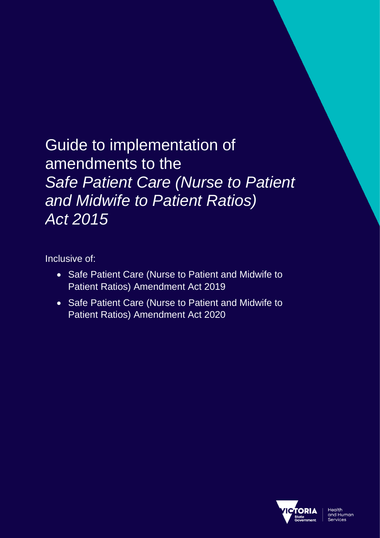# Guide to implementation of amendments to the *Safe Patient Care (Nurse to Patient and Midwife to Patient Ratios) Act 2015*

Inclusive of:

- Safe Patient Care (Nurse to Patient and Midwife to Patient Ratios) Amendment Act 2019
- Safe Patient Care (Nurse to Patient and Midwife to Patient Ratios) Amendment Act 2020

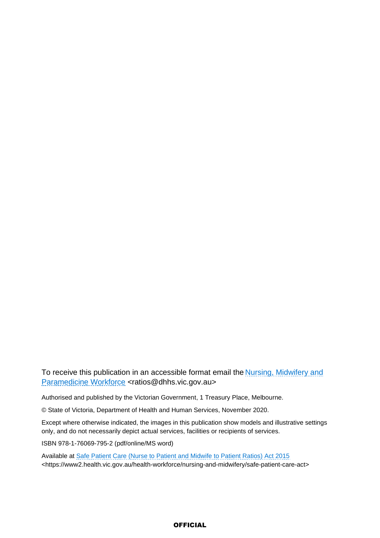To receive this publication in an accessible format email the **Nursing, Midwifery and** [Paramedicine Workforce](mailto:ratios@dhhs.vic.gov.au) <ratios@dhhs.vic.gov.au>

Authorised and published by the Victorian Government, 1 Treasury Place, Melbourne.

© State of Victoria, Department of Health and Human Services, November 2020.

Except where otherwise indicated, the images in this publication show models and illustrative settings only, and do not necessarily depict actual services, facilities or recipients of services.

ISBN 978-1-76069-795-2 (pdf/online/MS word)

Available at [Safe Patient Care \(Nurse to Patient and Midwife to Patient Ratios\) Act 2015](https://www2.health.vic.gov.au/health-workforce/nursing-and-midwifery/safe-patient-care-act) <https://www2.health.vic.gov.au/health-workforce/nursing-and-midwifery/safe-patient-care-act>

### **OFFICIAL**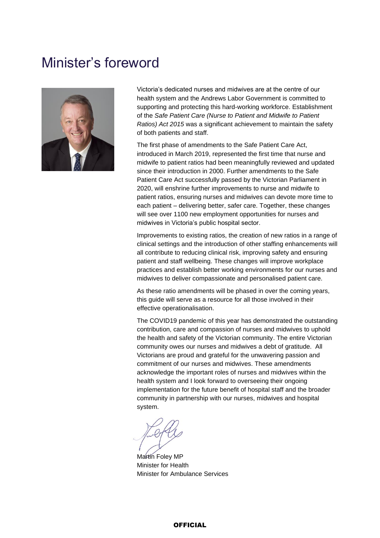# <span id="page-2-0"></span>Minister's foreword



Victoria's dedicated nurses and midwives are at the centre of our health system and the Andrews Labor Government is committed to supporting and protecting this hard-working workforce. Establishment of the *Safe Patient Care (Nurse to Patient and Midwife to Patient Ratios) Act 2015* was a significant achievement to maintain the safety of both patients and staff.

The first phase of amendments to the Safe Patient Care Act, introduced in March 2019, represented the first time that nurse and midwife to patient ratios had been meaningfully reviewed and updated since their introduction in 2000. Further amendments to the Safe Patient Care Act successfully passed by the Victorian Parliament in 2020, will enshrine further improvements to nurse and midwife to patient ratios, ensuring nurses and midwives can devote more time to each patient – delivering better, safer care. Together, these changes will see over 1100 new employment opportunities for nurses and midwives in Victoria's public hospital sector.

Improvements to existing ratios, the creation of new ratios in a range of clinical settings and the introduction of other staffing enhancements will all contribute to reducing clinical risk, improving safety and ensuring patient and staff wellbeing. These changes will improve workplace practices and establish better working environments for our nurses and midwives to deliver compassionate and personalised patient care.

As these ratio amendments will be phased in over the coming years, this guide will serve as a resource for all those involved in their effective operationalisation.

The COVID19 pandemic of this year has demonstrated the outstanding contribution, care and compassion of nurses and midwives to uphold the health and safety of the Victorian community. The entire Victorian community owes our nurses and midwives a debt of gratitude. All Victorians are proud and grateful for the unwavering passion and commitment of our nurses and midwives. These amendments acknowledge the important roles of nurses and midwives within the health system and I look forward to overseeing their ongoing implementation for the future benefit of hospital staff and the broader community in partnership with our nurses, midwives and hospital system.

Martin Foley MP Minister for Health Minister for Ambulance Services

#### **OFFICIAL**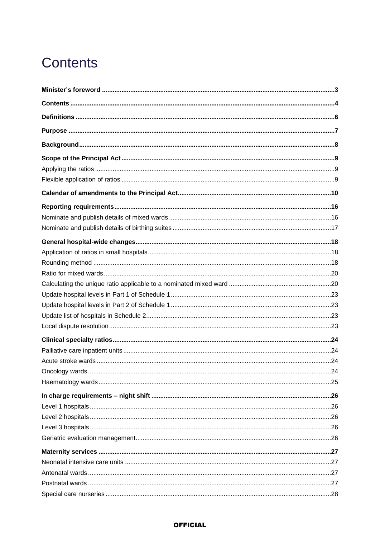# <span id="page-3-0"></span>**Contents**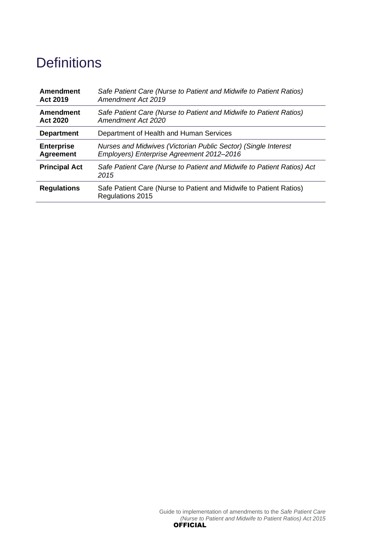# <span id="page-5-0"></span>**Definitions**

| Amendment            | Safe Patient Care (Nurse to Patient and Midwife to Patient Ratios)                     |
|----------------------|----------------------------------------------------------------------------------------|
| <b>Act 2019</b>      | <b>Amendment Act 2019</b>                                                              |
| Amendment            | Safe Patient Care (Nurse to Patient and Midwife to Patient Ratios)                     |
| <b>Act 2020</b>      | Amendment Act 2020                                                                     |
| <b>Department</b>    | Department of Health and Human Services                                                |
| <b>Enterprise</b>    | Nurses and Midwives (Victorian Public Sector) (Single Interest                         |
| <b>Agreement</b>     | Employers) Enterprise Agreement 2012-2016                                              |
| <b>Principal Act</b> | Safe Patient Care (Nurse to Patient and Midwife to Patient Ratios) Act<br>2015         |
| <b>Regulations</b>   | Safe Patient Care (Nurse to Patient and Midwife to Patient Ratios)<br>Regulations 2015 |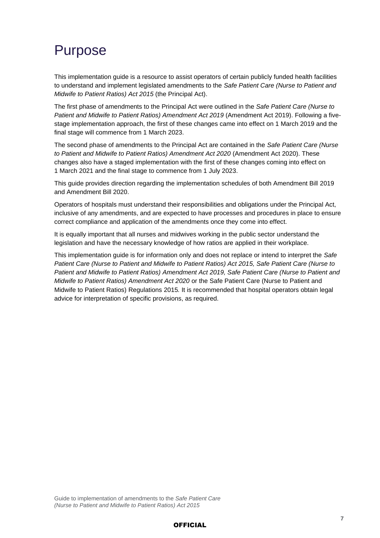# <span id="page-6-0"></span>Purpose

This implementation guide is a resource to assist operators of certain publicly funded health facilities to understand and implement legislated amendments to the *Safe Patient Care (Nurse to Patient and Midwife to Patient Ratios) Act 2015* (the Principal Act).

The first phase of amendments to the Principal Act were outlined in the *Safe Patient Care (Nurse to Patient and Midwife to Patient Ratios) Amendment Act 2019* (Amendment Act 2019). Following a fivestage implementation approach, the first of these changes came into effect on 1 March 2019 and the final stage will commence from 1 March 2023.

The second phase of amendments to the Principal Act are contained in the *Safe Patient Care (Nurse to Patient and Midwife to Patient Ratios) Amendment Act 2020* (Amendment Act 2020). These changes also have a staged implementation with the first of these changes coming into effect on 1 March 2021 and the final stage to commence from 1 July 2023.

This guide provides direction regarding the implementation schedules of both Amendment Bill 2019 and Amendment Bill 2020.

Operators of hospitals must understand their responsibilities and obligations under the Principal Act, inclusive of any amendments, and are expected to have processes and procedures in place to ensure correct compliance and application of the amendments once they come into effect.

It is equally important that all nurses and midwives working in the public sector understand the legislation and have the necessary knowledge of how ratios are applied in their workplace.

This implementation guide is for information only and does not replace or intend to interpret the *Safe Patient Care (Nurse to Patient and Midwife to Patient Ratios) Act 2015, Safe Patient Care (Nurse to Patient and Midwife to Patient Ratios) Amendment Act 2019, Safe Patient Care (Nurse to Patient and Midwife to Patient Ratios) Amendment Act 2020* or the Safe Patient Care (Nurse to Patient and Midwife to Patient Ratios) Regulations 2015*.* It is recommended that hospital operators obtain legal advice for interpretation of specific provisions, as required.

### **OFFICIAL**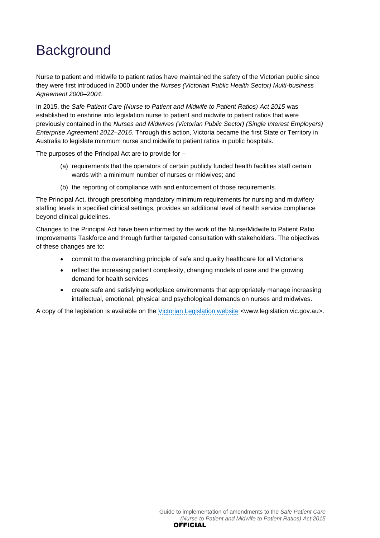# <span id="page-7-0"></span>**Background**

Nurse to patient and midwife to patient ratios have maintained the safety of the Victorian public since they were first introduced in 2000 under the *Nurses (Victorian Public Health Sector) Multi-business Agreement 2000–2004*.

In 2015, the *Safe Patient Care (Nurse to Patient and Midwife to Patient Ratios) Act 2015* was established to enshrine into legislation nurse to patient and midwife to patient ratios that were previously contained in the *Nurses and Midwives (Victorian Public Sector) (Single Interest Employers) Enterprise Agreement 2012–2016.* Through this action, Victoria became the first State or Territory in Australia to legislate minimum nurse and midwife to patient ratios in public hospitals.

The purposes of the Principal Act are to provide for –

- (a) requirements that the operators of certain publicly funded health facilities staff certain wards with a minimum number of nurses or midwives; and
- (b) the reporting of compliance with and enforcement of those requirements.

The Principal Act, through prescribing mandatory minimum requirements for nursing and midwifery staffing levels in specified clinical settings, provides an additional level of health service compliance beyond clinical quidelines.

Changes to the Principal Act have been informed by the work of the Nurse/Midwife to Patient Ratio Improvements Taskforce and through further targeted consultation with stakeholders. The objectives of these changes are to:

- commit to the overarching principle of safe and quality healthcare for all Victorians
- reflect the increasing patient complexity, changing models of care and the growing demand for health services
- create safe and satisfying workplace environments that appropriately manage increasing intellectual, emotional, physical and psychological demands on nurses and midwives.

A copy of the legislation is available on the [Victorian Legislation website](https://www.legislation.vic.gov.au/) <www.legislation.vic.gov.au>.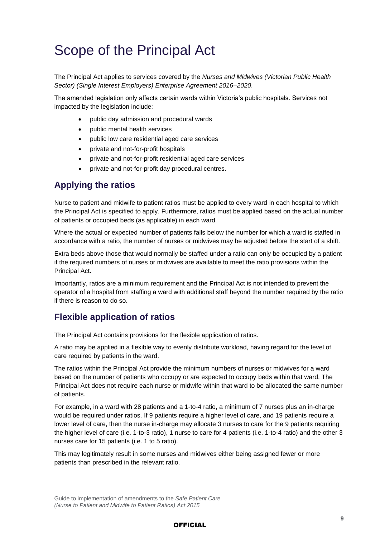# <span id="page-8-0"></span>Scope of the Principal Act

The Principal Act applies to services covered by the *Nurses and Midwives (Victorian Public Health Sector) (Single Interest Employers) Enterprise Agreement 2016–2020*.

The amended legislation only affects certain wards within Victoria's public hospitals. Services not impacted by the legislation include:

- public day admission and procedural wards
- public mental health services
- public low care residential aged care services
- private and not-for-profit hospitals
- private and not-for-profit residential aged care services
- private and not-for-profit day procedural centres.

## <span id="page-8-1"></span>**Applying the ratios**

Nurse to patient and midwife to patient ratios must be applied to every ward in each hospital to which the Principal Act is specified to apply. Furthermore, ratios must be applied based on the actual number of patients or occupied beds (as applicable) in each ward.

Where the actual or expected number of patients falls below the number for which a ward is staffed in accordance with a ratio, the number of nurses or midwives may be adjusted before the start of a shift.

Extra beds above those that would normally be staffed under a ratio can only be occupied by a patient if the required numbers of nurses or midwives are available to meet the ratio provisions within the Principal Act.

Importantly, ratios are a minimum requirement and the Principal Act is not intended to prevent the operator of a hospital from staffing a ward with additional staff beyond the number required by the ratio if there is reason to do so.

## <span id="page-8-2"></span>**Flexible application of ratios**

The Principal Act contains provisions for the flexible application of ratios.

A ratio may be applied in a flexible way to evenly distribute workload, having regard for the level of care required by patients in the ward.

The ratios within the Principal Act provide the minimum numbers of nurses or midwives for a ward based on the number of patients who occupy or are expected to occupy beds within that ward. The Principal Act does not require each nurse or midwife within that ward to be allocated the same number of patients.

For example, in a ward with 28 patients and a 1-to-4 ratio, a minimum of 7 nurses plus an in-charge would be required under ratios. If 9 patients require a higher level of care, and 19 patients require a lower level of care, then the nurse in-charge may allocate 3 nurses to care for the 9 patients requiring the higher level of care (i.e. 1-to-3 ratio), 1 nurse to care for 4 patients (i.e. 1-to-4 ratio) and the other 3 nurses care for 15 patients (i.e. 1 to 5 ratio).

This may legitimately result in some nurses and midwives either being assigned fewer or more patients than prescribed in the relevant ratio.

### **OFFICIAL**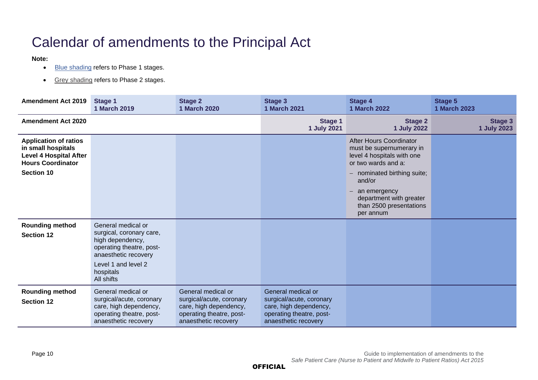# Calendar of amendments to the Principal Act

#### **Note:**

- Blue shading refers to Phase 1 stages.
- Grey shading refers to Phase 2 stages.

<span id="page-9-0"></span>

| <b>Amendment Act 2019</b>                                                                                       | Stage 1<br>1 March 2019                                                                                                      | <b>Stage 2</b><br>1 March 2020                                                                                               | <b>Stage 3</b><br>1 March 2021                                                                                               | <b>Stage 4</b><br>1 March 2022                                                                           | <b>Stage 5</b><br><b>1 March 2023</b> |
|-----------------------------------------------------------------------------------------------------------------|------------------------------------------------------------------------------------------------------------------------------|------------------------------------------------------------------------------------------------------------------------------|------------------------------------------------------------------------------------------------------------------------------|----------------------------------------------------------------------------------------------------------|---------------------------------------|
| <b>Amendment Act 2020</b>                                                                                       |                                                                                                                              |                                                                                                                              | <b>Stage 1</b><br>1 July 2021                                                                                                | <b>Stage 2</b><br><b>1 July 2022</b>                                                                     | <b>Stage 3</b><br>1 July 2023         |
| <b>Application of ratios</b><br>in small hospitals<br><b>Level 4 Hospital After</b><br><b>Hours Coordinator</b> |                                                                                                                              |                                                                                                                              |                                                                                                                              | After Hours Coordinator<br>must be supernumerary in<br>level 4 hospitals with one<br>or two wards and a: |                                       |
| <b>Section 10</b>                                                                                               |                                                                                                                              |                                                                                                                              |                                                                                                                              | - nominated birthing suite;<br>and/or                                                                    |                                       |
|                                                                                                                 |                                                                                                                              |                                                                                                                              |                                                                                                                              | an emergency<br>department with greater<br>than 2500 presentations<br>per annum                          |                                       |
| <b>Rounding method</b><br><b>Section 12</b>                                                                     | General medical or<br>surgical, coronary care,<br>high dependency,<br>operating theatre, post-<br>anaesthetic recovery       |                                                                                                                              |                                                                                                                              |                                                                                                          |                                       |
|                                                                                                                 | Level 1 and level 2<br>hospitals<br>All shifts                                                                               |                                                                                                                              |                                                                                                                              |                                                                                                          |                                       |
| <b>Rounding method</b><br><b>Section 12</b>                                                                     | General medical or<br>surgical/acute, coronary<br>care, high dependency,<br>operating theatre, post-<br>anaesthetic recovery | General medical or<br>surgical/acute, coronary<br>care, high dependency,<br>operating theatre, post-<br>anaesthetic recovery | General medical or<br>surgical/acute, coronary<br>care, high dependency,<br>operating theatre, post-<br>anaesthetic recovery |                                                                                                          |                                       |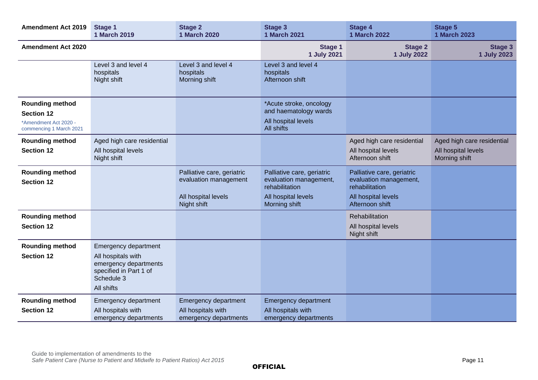| <b>Amendment Act 2019</b>                                                                       | <b>Stage 1</b><br>1 March 2019                                                                                                   | <b>Stage 2</b><br><b>1 March 2020</b>                                                     | <b>Stage 3</b><br><b>1 March 2021</b>                                                                          | <b>Stage 4</b><br><b>1 March 2022</b>                                                                            | <b>Stage 5</b><br><b>1 March 2023</b>                              |
|-------------------------------------------------------------------------------------------------|----------------------------------------------------------------------------------------------------------------------------------|-------------------------------------------------------------------------------------------|----------------------------------------------------------------------------------------------------------------|------------------------------------------------------------------------------------------------------------------|--------------------------------------------------------------------|
| <b>Amendment Act 2020</b>                                                                       |                                                                                                                                  |                                                                                           | Stage 1<br>1 July 2021                                                                                         | <b>Stage 2</b><br><b>1 July 2022</b>                                                                             | Stage 3<br><b>1 July 2023</b>                                      |
|                                                                                                 | Level 3 and level 4<br>hospitals<br>Night shift                                                                                  | Level 3 and level 4<br>hospitals<br>Morning shift                                         | Level 3 and level 4<br>hospitals<br>Afternoon shift                                                            |                                                                                                                  |                                                                    |
| <b>Rounding method</b><br><b>Section 12</b><br>*Amendment Act 2020 -<br>commencing 1 March 2021 |                                                                                                                                  |                                                                                           | *Acute stroke, oncology<br>and haematology wards<br>All hospital levels<br>All shifts                          |                                                                                                                  |                                                                    |
| <b>Rounding method</b><br><b>Section 12</b>                                                     | Aged high care residential<br>All hospital levels<br>Night shift                                                                 |                                                                                           |                                                                                                                | Aged high care residential<br>All hospital levels<br>Afternoon shift                                             | Aged high care residential<br>All hospital levels<br>Morning shift |
| <b>Rounding method</b><br><b>Section 12</b>                                                     |                                                                                                                                  | Palliative care, geriatric<br>evaluation management<br>All hospital levels<br>Night shift | Palliative care, geriatric<br>evaluation management,<br>rehabilitation<br>All hospital levels<br>Morning shift | Palliative care, geriatric<br>evaluation management,<br>rehabilitation<br>All hospital levels<br>Afternoon shift |                                                                    |
| <b>Rounding method</b><br><b>Section 12</b>                                                     |                                                                                                                                  |                                                                                           |                                                                                                                | Rehabilitation<br>All hospital levels<br>Night shift                                                             |                                                                    |
| <b>Rounding method</b><br><b>Section 12</b>                                                     | <b>Emergency department</b><br>All hospitals with<br>emergency departments<br>specified in Part 1 of<br>Schedule 3<br>All shifts |                                                                                           |                                                                                                                |                                                                                                                  |                                                                    |
| <b>Rounding method</b><br><b>Section 12</b>                                                     | Emergency department<br>All hospitals with<br>emergency departments                                                              | Emergency department<br>All hospitals with<br>emergency departments                       | <b>Emergency department</b><br>All hospitals with<br>emergency departments                                     |                                                                                                                  |                                                                    |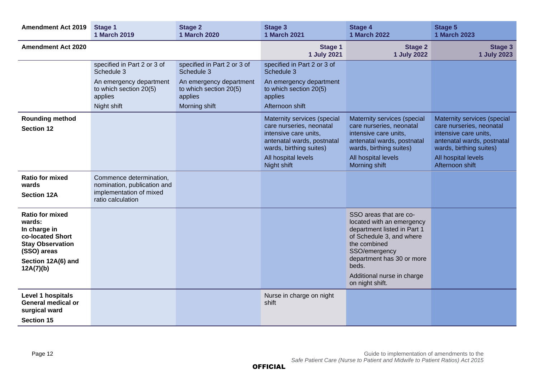| <b>Amendment Act 2019</b>                                                                                                                         | Stage 1<br><b>1 March 2019</b>                                                                         | <b>Stage 2</b><br>1 March 2020                               | Stage 3<br><b>1 March 2021</b>                                                                                                            | <b>Stage 4</b><br><b>1 March 2022</b>                                                                                                                                                                                                  | <b>Stage 5</b><br><b>1 March 2023</b>                                                                                                     |
|---------------------------------------------------------------------------------------------------------------------------------------------------|--------------------------------------------------------------------------------------------------------|--------------------------------------------------------------|-------------------------------------------------------------------------------------------------------------------------------------------|----------------------------------------------------------------------------------------------------------------------------------------------------------------------------------------------------------------------------------------|-------------------------------------------------------------------------------------------------------------------------------------------|
| <b>Amendment Act 2020</b>                                                                                                                         |                                                                                                        |                                                              | Stage 1<br>1 July 2021                                                                                                                    | <b>Stage 2</b><br><b>1 July 2022</b>                                                                                                                                                                                                   | <b>Stage 3</b><br>1 July 2023                                                                                                             |
|                                                                                                                                                   | specified in Part 2 or 3 of<br>Schedule 3                                                              | specified in Part 2 or 3 of<br>Schedule 3                    | specified in Part 2 or 3 of<br>Schedule 3                                                                                                 |                                                                                                                                                                                                                                        |                                                                                                                                           |
|                                                                                                                                                   | An emergency department<br>to which section 20(5)<br>applies                                           | An emergency department<br>to which section 20(5)<br>applies | An emergency department<br>to which section 20(5)<br>applies                                                                              |                                                                                                                                                                                                                                        |                                                                                                                                           |
|                                                                                                                                                   | Night shift                                                                                            | Morning shift                                                | Afternoon shift                                                                                                                           |                                                                                                                                                                                                                                        |                                                                                                                                           |
| <b>Rounding method</b><br><b>Section 12</b>                                                                                                       |                                                                                                        |                                                              | Maternity services (special<br>care nurseries, neonatal<br>intensive care units,<br>antenatal wards, postnatal<br>wards, birthing suites) | Maternity services (special<br>care nurseries, neonatal<br>intensive care units,<br>antenatal wards, postnatal<br>wards, birthing suites)                                                                                              | Maternity services (special<br>care nurseries, neonatal<br>intensive care units,<br>antenatal wards, postnatal<br>wards, birthing suites) |
|                                                                                                                                                   |                                                                                                        |                                                              | All hospital levels<br>Night shift                                                                                                        | All hospital levels<br>Morning shift                                                                                                                                                                                                   | All hospital levels<br>Afternoon shift                                                                                                    |
| <b>Ratio for mixed</b><br>wards<br><b>Section 12A</b>                                                                                             | Commence determination,<br>nomination, publication and<br>implementation of mixed<br>ratio calculation |                                                              |                                                                                                                                           |                                                                                                                                                                                                                                        |                                                                                                                                           |
| <b>Ratio for mixed</b><br>wards:<br>In charge in<br>co-located Short<br><b>Stay Observation</b><br>(SSO) areas<br>Section 12A(6) and<br>12A(7)(b) |                                                                                                        |                                                              |                                                                                                                                           | SSO areas that are co-<br>located with an emergency<br>department listed in Part 1<br>of Schedule 3, and where<br>the combined<br>SSO/emergency<br>department has 30 or more<br>beds.<br>Additional nurse in charge<br>on night shift. |                                                                                                                                           |
| Level 1 hospitals<br><b>General medical or</b><br>surgical ward<br><b>Section 15</b>                                                              |                                                                                                        |                                                              | Nurse in charge on night<br>shift                                                                                                         |                                                                                                                                                                                                                                        |                                                                                                                                           |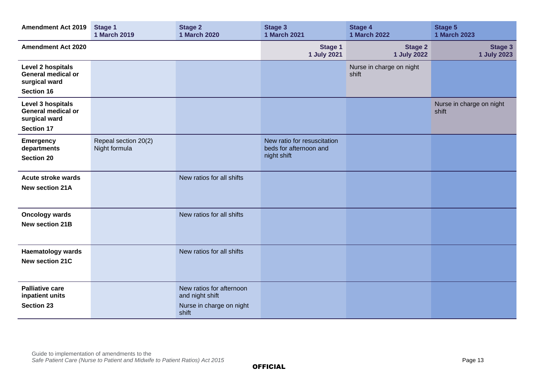| <b>Amendment Act 2019</b>                                                            | <b>Stage 1</b><br><b>1 March 2019</b> | <b>Stage 2</b><br><b>1 March 2020</b>                                            | <b>Stage 3</b><br><b>1 March 2021</b>                                | <b>Stage 4</b><br><b>1 March 2022</b> | <b>Stage 5</b><br><b>1 March 2023</b> |
|--------------------------------------------------------------------------------------|---------------------------------------|----------------------------------------------------------------------------------|----------------------------------------------------------------------|---------------------------------------|---------------------------------------|
| <b>Amendment Act 2020</b>                                                            |                                       |                                                                                  | Stage 1<br>1 July 2021                                               | <b>Stage 2</b><br>1 July 2022         | <b>Stage 3</b><br>1 July 2023         |
| Level 2 hospitals<br><b>General medical or</b><br>surgical ward<br><b>Section 16</b> |                                       |                                                                                  |                                                                      | Nurse in charge on night<br>shift     |                                       |
| Level 3 hospitals<br><b>General medical or</b><br>surgical ward<br><b>Section 17</b> |                                       |                                                                                  |                                                                      |                                       | Nurse in charge on night<br>shift     |
| <b>Emergency</b><br>departments<br><b>Section 20</b>                                 | Repeal section 20(2)<br>Night formula |                                                                                  | New ratio for resuscitation<br>beds for afternoon and<br>night shift |                                       |                                       |
| <b>Acute stroke wards</b><br><b>New section 21A</b>                                  |                                       | New ratios for all shifts                                                        |                                                                      |                                       |                                       |
| <b>Oncology wards</b><br><b>New section 21B</b>                                      |                                       | New ratios for all shifts                                                        |                                                                      |                                       |                                       |
| <b>Haematology wards</b><br><b>New section 21C</b>                                   |                                       | New ratios for all shifts                                                        |                                                                      |                                       |                                       |
| <b>Palliative care</b><br>inpatient units<br><b>Section 23</b>                       |                                       | New ratios for afternoon<br>and night shift<br>Nurse in charge on night<br>shift |                                                                      |                                       |                                       |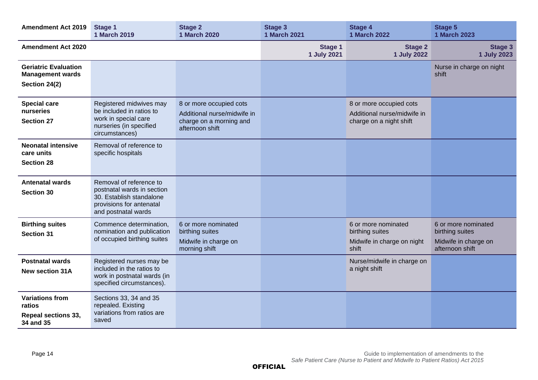| <b>Amendment Act 2019</b>                                                   | Stage 1<br><b>1 March 2019</b>                                                                                                       | <b>Stage 2</b><br><b>1 March 2020</b>                                                                | <b>Stage 3</b><br>1 March 2021 | <b>Stage 4</b><br><b>1 March 2022</b>                                             | <b>Stage 5</b><br><b>1 March 2023</b>                                             |
|-----------------------------------------------------------------------------|--------------------------------------------------------------------------------------------------------------------------------------|------------------------------------------------------------------------------------------------------|--------------------------------|-----------------------------------------------------------------------------------|-----------------------------------------------------------------------------------|
| <b>Amendment Act 2020</b>                                                   |                                                                                                                                      |                                                                                                      | <b>Stage 1</b><br>1 July 2021  | <b>Stage 2</b><br><b>1 July 2022</b>                                              | <b>Stage 3</b><br>1 July 2023                                                     |
| <b>Geriatric Evaluation</b><br><b>Management wards</b><br>Section 24(2)     |                                                                                                                                      |                                                                                                      |                                |                                                                                   | Nurse in charge on night<br>shift                                                 |
| <b>Special care</b><br>nurseries<br><b>Section 27</b>                       | Registered midwives may<br>be included in ratios to<br>work in special care<br>nurseries (in specified<br>circumstances)             | 8 or more occupied cots<br>Additional nurse/midwife in<br>charge on a morning and<br>afternoon shift |                                | 8 or more occupied cots<br>Additional nurse/midwife in<br>charge on a night shift |                                                                                   |
| <b>Neonatal intensive</b><br>care units<br><b>Section 28</b>                | Removal of reference to<br>specific hospitals                                                                                        |                                                                                                      |                                |                                                                                   |                                                                                   |
| <b>Antenatal wards</b><br><b>Section 30</b>                                 | Removal of reference to<br>postnatal wards in section<br>30. Establish standalone<br>provisions for antenatal<br>and postnatal wards |                                                                                                      |                                |                                                                                   |                                                                                   |
| <b>Birthing suites</b><br><b>Section 31</b>                                 | Commence determination,<br>nomination and publication<br>of occupied birthing suites                                                 | 6 or more nominated<br>birthing suites<br>Midwife in charge on<br>morning shift                      |                                | 6 or more nominated<br>birthing suites<br>Midwife in charge on night<br>shift     | 6 or more nominated<br>birthing suites<br>Midwife in charge on<br>afternoon shift |
| <b>Postnatal wards</b><br><b>New section 31A</b>                            | Registered nurses may be<br>included in the ratios to<br>work in postnatal wards (in<br>specified circumstances).                    |                                                                                                      |                                | Nurse/midwife in charge on<br>a night shift                                       |                                                                                   |
| <b>Variations from</b><br>ratios<br><b>Repeal sections 33,</b><br>34 and 35 | Sections 33, 34 and 35<br>repealed. Existing<br>variations from ratios are<br>saved                                                  |                                                                                                      |                                |                                                                                   |                                                                                   |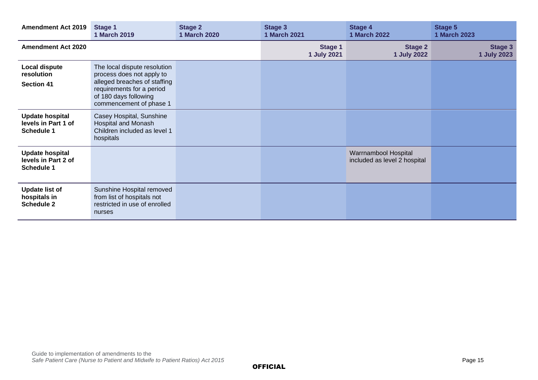| <b>Amendment Act 2019</b>                                   | Stage 1<br>1 March 2019                                                                                                                                                    | <b>Stage 2</b><br><b>1 March 2020</b> | Stage 3<br><b>1 March 2021</b> | <b>Stage 4</b><br><b>1 March 2022</b>                | <b>Stage 5</b><br><b>1 March 2023</b> |
|-------------------------------------------------------------|----------------------------------------------------------------------------------------------------------------------------------------------------------------------------|---------------------------------------|--------------------------------|------------------------------------------------------|---------------------------------------|
| <b>Amendment Act 2020</b>                                   |                                                                                                                                                                            |                                       | <b>Stage 1</b><br>1 July 2021  | <b>Stage 2</b><br>1 July 2022                        | <b>Stage 3</b><br>1 July 2023         |
| Local dispute<br>resolution<br><b>Section 41</b>            | The local dispute resolution<br>process does not apply to<br>alleged breaches of staffing<br>requirements for a period<br>of 180 days following<br>commencement of phase 1 |                                       |                                |                                                      |                                       |
| <b>Update hospital</b><br>levels in Part 1 of<br>Schedule 1 | Casey Hospital, Sunshine<br><b>Hospital and Monash</b><br>Children included as level 1<br>hospitals                                                                        |                                       |                                |                                                      |                                       |
| <b>Update hospital</b><br>levels in Part 2 of<br>Schedule 1 |                                                                                                                                                                            |                                       |                                | Warrnambool Hospital<br>included as level 2 hospital |                                       |
| <b>Update list of</b><br>hospitals in<br><b>Schedule 2</b>  | Sunshine Hospital removed<br>from list of hospitals not<br>restricted in use of enrolled<br>nurses                                                                         |                                       |                                |                                                      |                                       |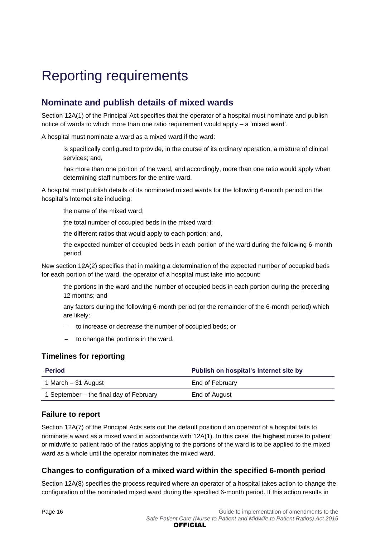# <span id="page-15-0"></span>Reporting requirements

# <span id="page-15-1"></span>**Nominate and publish details of mixed wards**

Section 12A(1) of the Principal Act specifies that the operator of a hospital must nominate and publish notice of wards to which more than one ratio requirement would apply – a 'mixed ward'.

A hospital must nominate a ward as a mixed ward if the ward:

is specifically configured to provide, in the course of its ordinary operation, a mixture of clinical services; and,

has more than one portion of the ward, and accordingly, more than one ratio would apply when determining staff numbers for the entire ward.

A hospital must publish details of its nominated mixed wards for the following 6-month period on the hospital's Internet site including:

the name of the mixed ward;

the total number of occupied beds in the mixed ward;

the different ratios that would apply to each portion; and,

the expected number of occupied beds in each portion of the ward during the following 6-month period.

New section 12A(2) specifies that in making a determination of the expected number of occupied beds for each portion of the ward, the operator of a hospital must take into account:

the portions in the ward and the number of occupied beds in each portion during the preceding 12 months; and

any factors during the following 6-month period (or the remainder of the 6-month period) which are likely:

- to increase or decrease the number of occupied beds; or
- to change the portions in the ward.

## **Timelines for reporting**

| <b>Period</b>                           | Publish on hospital's Internet site by |
|-----------------------------------------|----------------------------------------|
| 1 March – 31 August                     | End of February                        |
| 1 September – the final day of February | End of August                          |

## **Failure to report**

Section 12A(7) of the Principal Acts sets out the default position if an operator of a hospital fails to nominate a ward as a mixed ward in accordance with 12A(1). In this case, the **highest** nurse to patient or midwife to patient ratio of the ratios applying to the portions of the ward is to be applied to the mixed ward as a whole until the operator nominates the mixed ward.

## **Changes to configuration of a mixed ward within the specified 6-month period**

Section 12A(8) specifies the process required where an operator of a hospital takes action to change the configuration of the nominated mixed ward during the specified 6-month period. If this action results in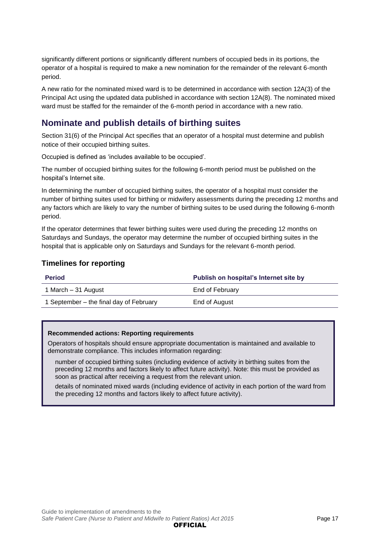significantly different portions or significantly different numbers of occupied beds in its portions, the operator of a hospital is required to make a new nomination for the remainder of the relevant 6-month period.

A new ratio for the nominated mixed ward is to be determined in accordance with section 12A(3) of the Principal Act using the updated data published in accordance with section 12A(8). The nominated mixed ward must be staffed for the remainder of the 6-month period in accordance with a new ratio.

## <span id="page-16-0"></span>**Nominate and publish details of birthing suites**

Section 31(6) of the Principal Act specifies that an operator of a hospital must determine and publish notice of their occupied birthing suites.

Occupied is defined as 'includes available to be occupied'.

The number of occupied birthing suites for the following 6-month period must be published on the hospital's Internet site.

In determining the number of occupied birthing suites, the operator of a hospital must consider the number of birthing suites used for birthing or midwifery assessments during the preceding 12 months and any factors which are likely to vary the number of birthing suites to be used during the following 6-month period.

If the operator determines that fewer birthing suites were used during the preceding 12 months on Saturdays and Sundays, the operator may determine the number of occupied birthing suites in the hospital that is applicable only on Saturdays and Sundays for the relevant 6-month period.

## **Timelines for reporting**

| <b>Period</b>                           | Publish on hospital's Internet site by |
|-----------------------------------------|----------------------------------------|
| 1 March – 31 August                     | End of February                        |
| 1 September – the final day of February | End of August                          |

### **Recommended actions: Reporting requirements**

Operators of hospitals should ensure appropriate documentation is maintained and available to demonstrate compliance. This includes information regarding:

number of occupied birthing suites (including evidence of activity in birthing suites from the preceding 12 months and factors likely to affect future activity). Note: this must be provided as soon as practical after receiving a request from the relevant union.

details of nominated mixed wards (including evidence of activity in each portion of the ward from the preceding 12 months and factors likely to affect future activity).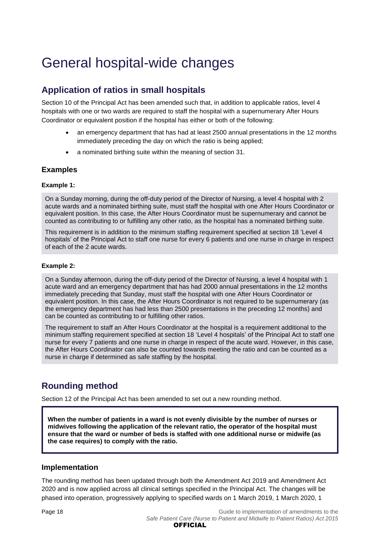# <span id="page-17-0"></span>General hospital-wide changes

# <span id="page-17-1"></span>**Application of ratios in small hospitals**

Section 10 of the Principal Act has been amended such that, in addition to applicable ratios, level 4 hospitals with one or two wards are required to staff the hospital with a supernumerary After Hours Coordinator or equivalent position if the hospital has either or both of the following:

- an emergency department that has had at least 2500 annual presentations in the 12 months immediately preceding the day on which the ratio is being applied;
- a nominated birthing suite within the meaning of section 31.

## **Examples**

### **Example 1:**

On a Sunday morning, during the off-duty period of the Director of Nursing, a level 4 hospital with 2 acute wards and a nominated birthing suite, must staff the hospital with one After Hours Coordinator or equivalent position. In this case, the After Hours Coordinator must be supernumerary and cannot be counted as contributing to or fulfilling any other ratio, as the hospital has a nominated birthing suite.

This requirement is in addition to the minimum staffing requirement specified at section 18 'Level 4 hospitals' of the Principal Act to staff one nurse for every 6 patients and one nurse in charge in respect of each of the 2 acute wards.

### **Example 2:**

On a Sunday afternoon, during the off-duty period of the Director of Nursing, a level 4 hospital with 1 acute ward and an emergency department that has had 2000 annual presentations in the 12 months immediately preceding that Sunday, must staff the hospital with one After Hours Coordinator or equivalent position. In this case, the After Hours Coordinator is not required to be supernumerary (as the emergency department has had less than 2500 presentations in the preceding 12 months) and can be counted as contributing to or fulfilling other ratios.

The requirement to staff an After Hours Coordinator at the hospital is a requirement additional to the minimum staffing requirement specified at section 18 'Level 4 hospitals' of the Principal Act to staff one nurse for every 7 patients and one nurse in charge in respect of the acute ward. However, in this case, the After Hours Coordinator can also be counted towards meeting the ratio and can be counted as a nurse in charge if determined as safe staffing by the hospital.

## <span id="page-17-2"></span>**Rounding method**

Section 12 of the Principal Act has been amended to set out a new rounding method.

**When the number of patients in a ward is not evenly divisible by the number of nurses or midwives following the application of the relevant ratio, the operator of the hospital must ensure that the ward or number of beds is staffed with one additional nurse or midwife (as the case requires) to comply with the ratio.**

## **Implementation**

The rounding method has been updated through both the Amendment Act 2019 and Amendment Act 2020 and is now applied across all clinical settings specified in the Principal Act. The changes will be phased into operation, progressively applying to specified wards on 1 March 2019, 1 March 2020, 1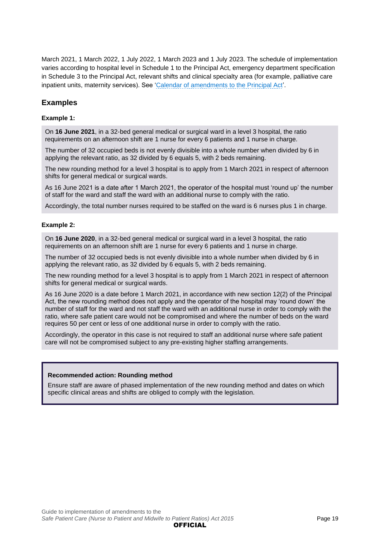March 2021, 1 March 2022, 1 July 2022, 1 March 2023 and 1 July 2023. The schedule of implementation varies according to hospital level in Schedule 1 to the Principal Act, emergency department specification in Schedule 3 to the Principal Act, relevant shifts and clinical specialty area (for example, palliative care inpatient units, maternity services). See ['Calendar of amendments to the Principal Act'](#page-9-0).

## **Examples**

#### **Example 1:**

On **16 June 2021**, in a 32-bed general medical or surgical ward in a level 3 hospital, the ratio requirements on an afternoon shift are 1 nurse for every 6 patients and 1 nurse in charge.

The number of 32 occupied beds is not evenly divisible into a whole number when divided by 6 in applying the relevant ratio, as 32 divided by 6 equals 5, with 2 beds remaining.

The new rounding method for a level 3 hospital is to apply from 1 March 2021 in respect of afternoon shifts for general medical or surgical wards.

As 16 June 2021 is a date after 1 March 2021, the operator of the hospital must 'round up' the number of staff for the ward and staff the ward with an additional nurse to comply with the ratio.

Accordingly, the total number nurses required to be staffed on the ward is 6 nurses plus 1 in charge.

#### **Example 2:**

On **16 June 2020**, in a 32-bed general medical or surgical ward in a level 3 hospital, the ratio requirements on an afternoon shift are 1 nurse for every 6 patients and 1 nurse in charge.

The number of 32 occupied beds is not evenly divisible into a whole number when divided by 6 in applying the relevant ratio, as 32 divided by 6 equals 5, with 2 beds remaining.

The new rounding method for a level 3 hospital is to apply from 1 March 2021 in respect of afternoon shifts for general medical or surgical wards.

As 16 June 2020 is a date before 1 March 2021, in accordance with new section 12(2) of the Principal Act, the new rounding method does not apply and the operator of the hospital may 'round down' the number of staff for the ward and not staff the ward with an additional nurse in order to comply with the ratio, where safe patient care would not be compromised and where the number of beds on the ward requires 50 per cent or less of one additional nurse in order to comply with the ratio.

Accordingly, the operator in this case is not required to staff an additional nurse where safe patient care will not be compromised subject to any pre-existing higher staffing arrangements.

### **Recommended action: Rounding method**

Ensure staff are aware of phased implementation of the new rounding method and dates on which specific clinical areas and shifts are obliged to comply with the legislation.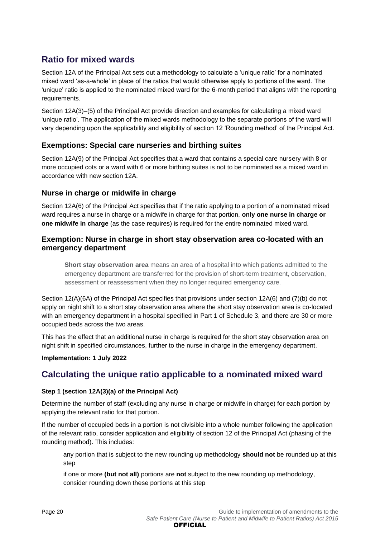## <span id="page-19-0"></span>**Ratio for mixed wards**

Section 12A of the Principal Act sets out a methodology to calculate a 'unique ratio' for a nominated mixed ward 'as-a-whole' in place of the ratios that would otherwise apply to portions of the ward. The 'unique' ratio is applied to the nominated mixed ward for the 6-month period that aligns with the reporting requirements.

Section 12A(3)–(5) of the Principal Act provide direction and examples for calculating a mixed ward 'unique ratio'. The application of the mixed wards methodology to the separate portions of the ward will vary depending upon the applicability and eligibility of section 12 'Rounding method' of the Principal Act.

## **Exemptions: Special care nurseries and birthing suites**

Section 12A(9) of the Principal Act specifies that a ward that contains a special care nursery with 8 or more occupied cots or a ward with 6 or more birthing suites is not to be nominated as a mixed ward in accordance with new section 12A.

## **Nurse in charge or midwife in charge**

Section 12A(6) of the Principal Act specifies that if the ratio applying to a portion of a nominated mixed ward requires a nurse in charge or a midwife in charge for that portion, **only one nurse in charge or one midwife in charge** (as the case requires) is required for the entire nominated mixed ward.

## **Exemption: Nurse in charge in short stay observation area co-located with an emergency department**

**Short stay observation area** means an area of a hospital into which patients admitted to the emergency department are transferred for the provision of short-term treatment, observation, assessment or reassessment when they no longer required emergency care.

Section 12(A)(6A) of the Principal Act specifies that provisions under section 12A(6) and (7)(b) do not apply on night shift to a short stay observation area where the short stay observation area is co-located with an emergency department in a hospital specified in Part 1 of Schedule 3, and there are 30 or more occupied beds across the two areas.

This has the effect that an additional nurse in charge is required for the short stay observation area on night shift in specified circumstances, further to the nurse in charge in the emergency department.

## **Implementation: 1 July 2022**

## <span id="page-19-1"></span>**Calculating the unique ratio applicable to a nominated mixed ward**

## **Step 1 (section 12A(3)(a) of the Principal Act)**

Determine the number of staff (excluding any nurse in charge or midwife in charge) for each portion by applying the relevant ratio for that portion.

If the number of occupied beds in a portion is not divisible into a whole number following the application of the relevant ratio, consider application and eligibility of section 12 of the Principal Act (phasing of the rounding method). This includes:

any portion that is subject to the new rounding up methodology **should not** be rounded up at this step

if one or more **(but not all)** portions are **not** subject to the new rounding up methodology, consider rounding down these portions at this step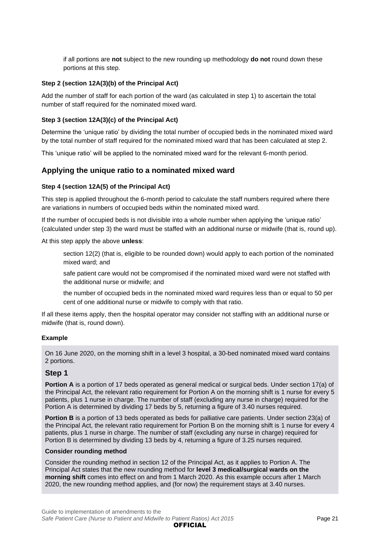if all portions are **not** subject to the new rounding up methodology **do not** round down these portions at this step.

### **Step 2 (section 12A(3)(b) of the Principal Act)**

Add the number of staff for each portion of the ward (as calculated in step 1) to ascertain the total number of staff required for the nominated mixed ward.

### **Step 3 (section 12A(3)(c) of the Principal Act)**

Determine the 'unique ratio' by dividing the total number of occupied beds in the nominated mixed ward by the total number of staff required for the nominated mixed ward that has been calculated at step 2.

This 'unique ratio' will be applied to the nominated mixed ward for the relevant 6-month period.

## **Applying the unique ratio to a nominated mixed ward**

### **Step 4 (section 12A(5) of the Principal Act)**

This step is applied throughout the 6-month period to calculate the staff numbers required where there are variations in numbers of occupied beds within the nominated mixed ward.

If the number of occupied beds is not divisible into a whole number when applying the 'unique ratio' (calculated under step 3) the ward must be staffed with an additional nurse or midwife (that is, round up).

At this step apply the above **unless**:

section 12(2) (that is, eligible to be rounded down) would apply to each portion of the nominated mixed ward; and

safe patient care would not be compromised if the nominated mixed ward were not staffed with the additional nurse or midwife; and

the number of occupied beds in the nominated mixed ward requires less than or equal to 50 per cent of one additional nurse or midwife to comply with that ratio.

If all these items apply, then the hospital operator may consider not staffing with an additional nurse or midwife (that is, round down).

### **Example**

On 16 June 2020, on the morning shift in a level 3 hospital, a 30-bed nominated mixed ward contains 2 portions.

## **Step 1**

**Portion A** is a portion of 17 beds operated as general medical or surgical beds. Under section 17(a) of the Principal Act, the relevant ratio requirement for Portion A on the morning shift is 1 nurse for every 5 patients, plus 1 nurse in charge. The number of staff (excluding any nurse in charge) required for the Portion A is determined by dividing 17 beds by 5, returning a figure of 3.40 nurses required.

**Portion B** is a portion of 13 beds operated as beds for palliative care patients. Under section 23(a) of the Principal Act, the relevant ratio requirement for Portion B on the morning shift is 1 nurse for every 4 patients, plus 1 nurse in charge. The number of staff (excluding any nurse in charge) required for Portion B is determined by dividing 13 beds by 4, returning a figure of 3.25 nurses required.

### **Consider rounding method**

Consider the rounding method in section 12 of the Principal Act, as it applies to Portion A. The Principal Act states that the new rounding method for **level 3 medical/surgical wards on the morning shift** comes into effect on and from 1 March 2020. As this example occurs after 1 March 2020, the new rounding method applies, and (for now) the requirement stays at 3.40 nurses.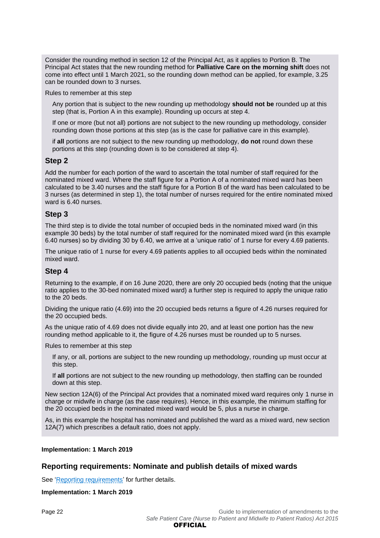Consider the rounding method in section 12 of the Principal Act, as it applies to Portion B. The Principal Act states that the new rounding method for **Palliative Care on the morning shift** does not come into effect until 1 March 2021, so the rounding down method can be applied, for example, 3.25 can be rounded down to 3 nurses.

Rules to remember at this step

Any portion that is subject to the new rounding up methodology **should not be** rounded up at this step (that is, Portion A in this example). Rounding up occurs at step 4.

If one or more (but not all) portions are not subject to the new rounding up methodology, consider rounding down those portions at this step (as is the case for palliative care in this example).

if **all** portions are not subject to the new rounding up methodology, **do not** round down these portions at this step (rounding down is to be considered at step 4).

## **Step 2**

Add the number for each portion of the ward to ascertain the total number of staff required for the nominated mixed ward. Where the staff figure for a Portion A of a nominated mixed ward has been calculated to be 3.40 nurses and the staff figure for a Portion B of the ward has been calculated to be 3 nurses (as determined in step 1), the total number of nurses required for the entire nominated mixed ward is 6.40 nurses.

### **Step 3**

The third step is to divide the total number of occupied beds in the nominated mixed ward (in this example 30 beds) by the total number of staff required for the nominated mixed ward (in this example 6.40 nurses) so by dividing 30 by 6.40, we arrive at a 'unique ratio' of 1 nurse for every 4.69 patients.

The unique ratio of 1 nurse for every 4.69 patients applies to all occupied beds within the nominated mixed ward.

### **Step 4**

Returning to the example, if on 16 June 2020, there are only 20 occupied beds (noting that the unique ratio applies to the 30-bed nominated mixed ward) a further step is required to apply the unique ratio to the 20 beds.

Dividing the unique ratio (4.69) into the 20 occupied beds returns a figure of 4.26 nurses required for the 20 occupied beds.

As the unique ratio of 4.69 does not divide equally into 20, and at least one portion has the new rounding method applicable to it, the figure of 4.26 nurses must be rounded up to 5 nurses.

Rules to remember at this step

If any, or all, portions are subject to the new rounding up methodology, rounding up must occur at this step.

If **all** portions are not subject to the new rounding up methodology, then staffing can be rounded down at this step.

New section 12A(6) of the Principal Act provides that a nominated mixed ward requires only 1 nurse in charge or midwife in charge (as the case requires). Hence, in this example, the minimum staffing for the 20 occupied beds in the nominated mixed ward would be 5, plus a nurse in charge.

As, in this example the hospital has nominated and published the ward as a mixed ward, new section 12A(7) which prescribes a default ratio, does not apply.

#### **Implementation: 1 March 2019**

## **Reporting requirements: Nominate and publish details of mixed wards**

See ['Reporting requirements'](#page-15-0) for further details.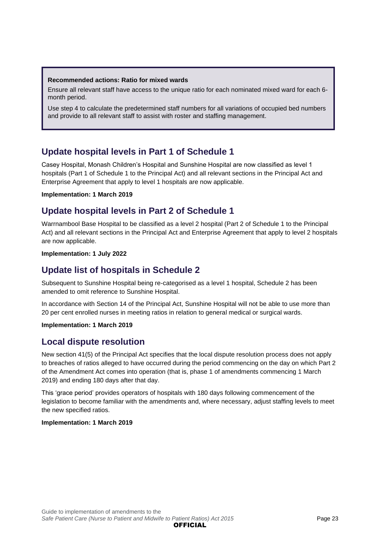### **Recommended actions: Ratio for mixed wards**

Ensure all relevant staff have access to the unique ratio for each nominated mixed ward for each 6 month period.

Use step 4 to calculate the predetermined staff numbers for all variations of occupied bed numbers and provide to all relevant staff to assist with roster and staffing management.

## <span id="page-22-0"></span>**Update hospital levels in Part 1 of Schedule 1**

Casey Hospital, Monash Children's Hospital and Sunshine Hospital are now classified as level 1 hospitals (Part 1 of Schedule 1 to the Principal Act) and all relevant sections in the Principal Act and Enterprise Agreement that apply to level 1 hospitals are now applicable.

### **Implementation: 1 March 2019**

## <span id="page-22-1"></span>**Update hospital levels in Part 2 of Schedule 1**

Warrnambool Base Hospital to be classified as a level 2 hospital (Part 2 of Schedule 1 to the Principal Act) and all relevant sections in the Principal Act and Enterprise Agreement that apply to level 2 hospitals are now applicable.

#### **Implementation: 1 July 2022**

## <span id="page-22-2"></span>**Update list of hospitals in Schedule 2**

Subsequent to Sunshine Hospital being re-categorised as a level 1 hospital, Schedule 2 has been amended to omit reference to Sunshine Hospital.

In accordance with Section 14 of the Principal Act, Sunshine Hospital will not be able to use more than 20 per cent enrolled nurses in meeting ratios in relation to general medical or surgical wards.

### **Implementation: 1 March 2019**

## <span id="page-22-3"></span>**Local dispute resolution**

New section 41(5) of the Principal Act specifies that the local dispute resolution process does not apply to breaches of ratios alleged to have occurred during the period commencing on the day on which Part 2 of the Amendment Act comes into operation (that is, phase 1 of amendments commencing 1 March 2019) and ending 180 days after that day.

This 'grace period' provides operators of hospitals with 180 days following commencement of the legislation to become familiar with the amendments and, where necessary, adjust staffing levels to meet the new specified ratios.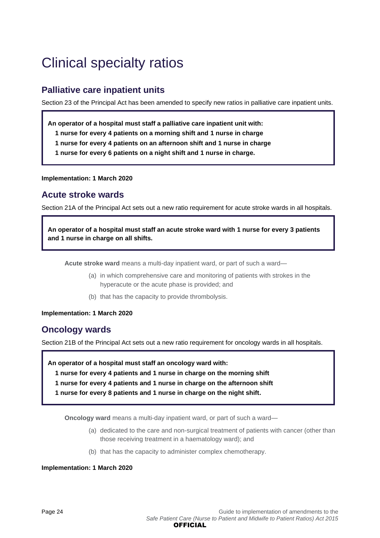# <span id="page-23-0"></span>Clinical specialty ratios

## <span id="page-23-1"></span>**Palliative care inpatient units**

Section 23 of the Principal Act has been amended to specify new ratios in palliative care inpatient units.

**An operator of a hospital must staff a palliative care inpatient unit with:**

- **1 nurse for every 4 patients on a morning shift and 1 nurse in charge**
- **1 nurse for every 4 patients on an afternoon shift and 1 nurse in charge**
- **1 nurse for every 6 patients on a night shift and 1 nurse in charge.**

**Implementation: 1 March 2020**

## <span id="page-23-2"></span>**Acute stroke wards**

Section 21A of the Principal Act sets out a new ratio requirement for acute stroke wards in all hospitals.

**An operator of a hospital must staff an acute stroke ward with 1 nurse for every 3 patients and 1 nurse in charge on all shifts.**

**Acute stroke ward** means a multi-day inpatient ward, or part of such a ward—

- (a) in which comprehensive care and monitoring of patients with strokes in the hyperacute or the acute phase is provided; and
- (b) that has the capacity to provide thrombolysis.

**Implementation: 1 March 2020**

## <span id="page-23-3"></span>**Oncology wards**

Section 21B of the Principal Act sets out a new ratio requirement for oncology wards in all hospitals.

**An operator of a hospital must staff an oncology ward with:**

- **1 nurse for every 4 patients and 1 nurse in charge on the morning shift**
- **1 nurse for every 4 patients and 1 nurse in charge on the afternoon shift**
- **1 nurse for every 8 patients and 1 nurse in charge on the night shift.**

**Oncology ward** means a multi-day inpatient ward, or part of such a ward—

- (a) dedicated to the care and non-surgical treatment of patients with cancer (other than those receiving treatment in a haematology ward); and
- (b) that has the capacity to administer complex chemotherapy.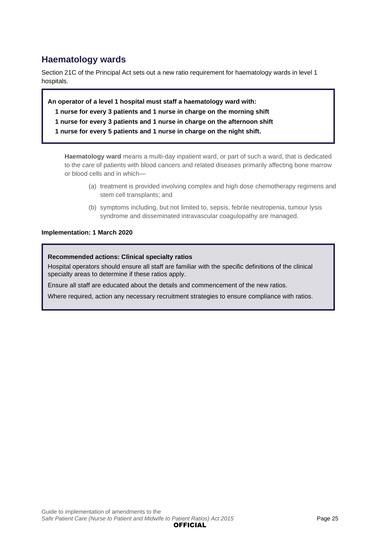## <span id="page-24-0"></span>**Haematology wards**

Section 21C of the Principal Act sets out a new ratio requirement for haematology wards in level 1 hospitals.

**An operator of a level 1 hospital must staff a haematology ward with: nurse for every 3 patients and 1 nurse in charge on the morning shift nurse for every 3 patients and 1 nurse in charge on the afternoon shift nurse for every 5 patients and 1 nurse in charge on the night shift.**

**Haematology ward** means a multi-day inpatient ward, or part of such a ward, that is dedicated to the care of patients with blood cancers and related diseases primarily affecting bone marrow or blood cells and in which—

- (a) treatment is provided involving complex and high dose chemotherapy regimens and stem cell transplants; and
- (b) symptoms including, but not limited to, sepsis, febrile neutropenia, tumour lysis syndrome and disseminated intravascular coagulopathy are managed.

### **Implementation: 1 March 2020**

### **Recommended actions: Clinical specialty ratios**

Hospital operators should ensure all staff are familiar with the specific definitions of the clinical specialty areas to determine if these ratios apply.

Ensure all staff are educated about the details and commencement of the new ratios.

Where required, action any necessary recruitment strategies to ensure compliance with ratios.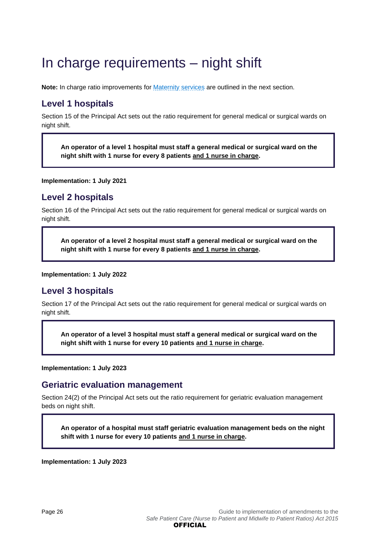# <span id="page-25-0"></span>In charge requirements – night shift

Note: In charge ratio improvements for **[Maternity services](#page-26-0)** are outlined in the next section.

# <span id="page-25-1"></span>**Level 1 hospitals**

Section 15 of the Principal Act sets out the ratio requirement for general medical or surgical wards on night shift.

**An operator of a level 1 hospital must staff a general medical or surgical ward on the night shift with 1 nurse for every 8 patients and 1 nurse in charge.**

**Implementation: 1 July 2021**

## <span id="page-25-2"></span>**Level 2 hospitals**

Section 16 of the Principal Act sets out the ratio requirement for general medical or surgical wards on night shift.

**An operator of a level 2 hospital must staff a general medical or surgical ward on the night shift with 1 nurse for every 8 patients and 1 nurse in charge.**

**Implementation: 1 July 2022**

## <span id="page-25-3"></span>**Level 3 hospitals**

Section 17 of the Principal Act sets out the ratio requirement for general medical or surgical wards on night shift.

**An operator of a level 3 hospital must staff a general medical or surgical ward on the night shift with 1 nurse for every 10 patients and 1 nurse in charge.**

**Implementation: 1 July 2023**

## <span id="page-25-4"></span>**Geriatric evaluation management**

Section 24(2) of the Principal Act sets out the ratio requirement for geriatric evaluation management beds on night shift.

**An operator of a hospital must staff geriatric evaluation management beds on the night shift with 1 nurse for every 10 patients and 1 nurse in charge.**

**Implementation: 1 July 2023**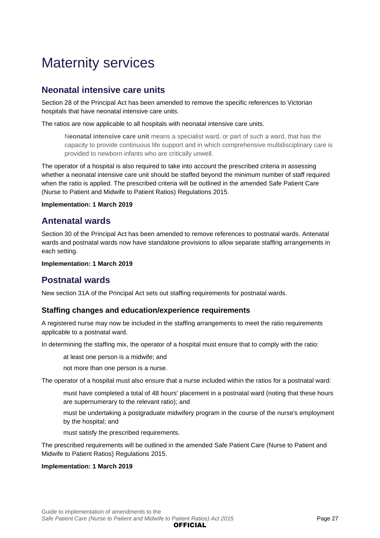# <span id="page-26-0"></span>Maternity services

## <span id="page-26-1"></span>**Neonatal intensive care units**

Section 28 of the Principal Act has been amended to remove the specific references to Victorian hospitals that have neonatal intensive care units.

The ratios are now applicable to all hospitals with neonatal intensive care units.

N**eonatal intensive care unit** means a specialist ward, or part of such a ward, that has the capacity to provide continuous life support and in which comprehensive multidisciplinary care is provided to newborn infants who are critically unwell.

The operator of a hospital is also required to take into account the prescribed criteria in assessing whether a neonatal intensive care unit should be staffed beyond the minimum number of staff required when the ratio is applied. The prescribed criteria will be outlined in the amended Safe Patient Care (Nurse to Patient and Midwife to Patient Ratios) Regulations 2015.

### **Implementation: 1 March 2019**

## <span id="page-26-2"></span>**Antenatal wards**

Section 30 of the Principal Act has been amended to remove references to postnatal wards. Antenatal wards and postnatal wards now have standalone provisions to allow separate staffing arrangements in each setting.

#### **Implementation: 1 March 2019**

## <span id="page-26-3"></span>**Postnatal wards**

New section 31A of the Principal Act sets out staffing requirements for postnatal wards.

## **Staffing changes and education/experience requirements**

A registered nurse may now be included in the staffing arrangements to meet the ratio requirements applicable to a postnatal ward.

In determining the staffing mix, the operator of a hospital must ensure that to comply with the ratio:

at least one person is a midwife; and

not more than one person is a nurse.

The operator of a hospital must also ensure that a nurse included within the ratios for a postnatal ward:

must have completed a total of 48 hours' placement in a postnatal ward (noting that these hours are supernumerary to the relevant ratio); and

must be undertaking a postgraduate midwifery program in the course of the nurse's employment by the hospital; and

must satisfy the prescribed requirements.

The prescribed requirements will be outlined in the amended Safe Patient Care (Nurse to Patient and Midwife to Patient Ratios) Regulations 2015.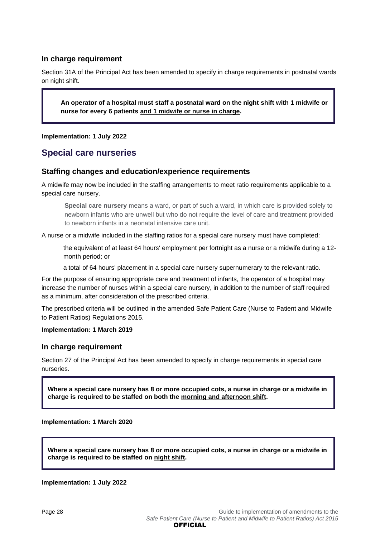## **In charge requirement**

Section 31A of the Principal Act has been amended to specify in charge requirements in postnatal wards on night shift.

**An operator of a hospital must staff a postnatal ward on the night shift with 1 midwife or nurse for every 6 patients and 1 midwife or nurse in charge.**

**Implementation: 1 July 2022**

## <span id="page-27-0"></span>**Special care nurseries**

## **Staffing changes and education/experience requirements**

A midwife may now be included in the staffing arrangements to meet ratio requirements applicable to a special care nursery.

**Special care nursery** means a ward, or part of such a ward, in which care is provided solely to newborn infants who are unwell but who do not require the level of care and treatment provided to newborn infants in a neonatal intensive care unit.

A nurse or a midwife included in the staffing ratios for a special care nursery must have completed:

the equivalent of at least 64 hours' employment per fortnight as a nurse or a midwife during a 12 month period; or

a total of 64 hours' placement in a special care nursery supernumerary to the relevant ratio.

For the purpose of ensuring appropriate care and treatment of infants, the operator of a hospital may increase the number of nurses within a special care nursery, in addition to the number of staff required as a minimum, after consideration of the prescribed criteria.

The prescribed criteria will be outlined in the amended Safe Patient Care (Nurse to Patient and Midwife to Patient Ratios) Regulations 2015.

**Implementation: 1 March 2019**

### **In charge requirement**

Section 27 of the Principal Act has been amended to specify in charge requirements in special care nurseries.

**Where a special care nursery has 8 or more occupied cots, a nurse in charge or a midwife in charge is required to be staffed on both the morning and afternoon shift.**

**Implementation: 1 March 2020**

**Where a special care nursery has 8 or more occupied cots, a nurse in charge or a midwife in charge is required to be staffed on night shift.**

**Implementation: 1 July 2022**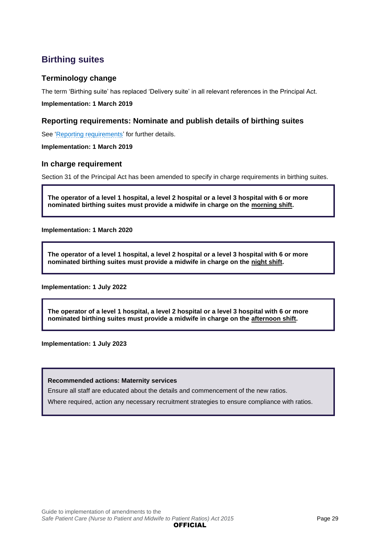## <span id="page-28-0"></span>**Birthing suites**

## **Terminology change**

The term 'Birthing suite' has replaced 'Delivery suite' in all relevant references in the Principal Act.

**Implementation: 1 March 2019**

## **Reporting requirements: Nominate and publish details of birthing suites**

See ['Reporting requirements'](#page-15-0) for further details.

**Implementation: 1 March 2019**

## **In charge requirement**

Section 31 of the Principal Act has been amended to specify in charge requirements in birthing suites.

**The operator of a level 1 hospital, a level 2 hospital or a level 3 hospital with 6 or more nominated birthing suites must provide a midwife in charge on the morning shift.**

**Implementation: 1 March 2020**

**The operator of a level 1 hospital, a level 2 hospital or a level 3 hospital with 6 or more nominated birthing suites must provide a midwife in charge on the night shift.**

**Implementation: 1 July 2022**

**The operator of a level 1 hospital, a level 2 hospital or a level 3 hospital with 6 or more nominated birthing suites must provide a midwife in charge on the afternoon shift.**

**Implementation: 1 July 2023**

### **Recommended actions: Maternity services**

Ensure all staff are educated about the details and commencement of the new ratios.

Where required, action any necessary recruitment strategies to ensure compliance with ratios.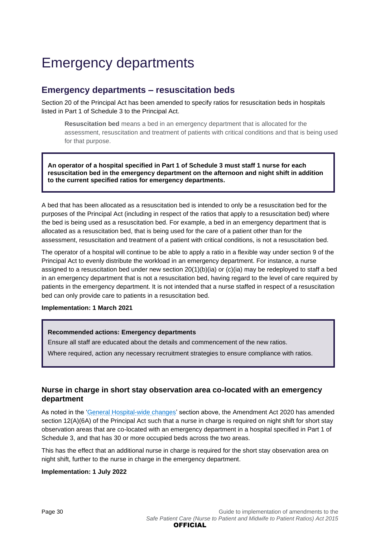# <span id="page-29-0"></span>Emergency departments

## <span id="page-29-1"></span>**Emergency departments – resuscitation beds**

Section 20 of the Principal Act has been amended to specify ratios for resuscitation beds in hospitals listed in Part 1 of Schedule 3 to the Principal Act.

**Resuscitation bed** means a bed in an emergency department that is allocated for the assessment, resuscitation and treatment of patients with critical conditions and that is being used for that purpose.

**An operator of a hospital specified in Part 1 of Schedule 3 must staff 1 nurse for each resuscitation bed in the emergency department on the afternoon and night shift in addition to the current specified ratios for emergency departments.**

A bed that has been allocated as a resuscitation bed is intended to only be a resuscitation bed for the purposes of the Principal Act (including in respect of the ratios that apply to a resuscitation bed) where the bed is being used as a resuscitation bed. For example, a bed in an emergency department that is allocated as a resuscitation bed, that is being used for the care of a patient other than for the assessment, resuscitation and treatment of a patient with critical conditions, is not a resuscitation bed.

The operator of a hospital will continue to be able to apply a ratio in a flexible way under section 9 of the Principal Act to evenly distribute the workload in an emergency department. For instance, a nurse assigned to a resuscitation bed under new section 20(1)(b)(ia) or (c)(ia) may be redeployed to staff a bed in an emergency department that is not a resuscitation bed, having regard to the level of care required by patients in the emergency department. It is not intended that a nurse staffed in respect of a resuscitation bed can only provide care to patients in a resuscitation bed.

### **Implementation: 1 March 2021**

### **Recommended actions: Emergency departments**

Ensure all staff are educated about the details and commencement of the new ratios.

Where required, action any necessary recruitment strategies to ensure compliance with ratios.

## **Nurse in charge in short stay observation area co-located with an emergency department**

As noted in the ['General Hospital-wide changes'](#page-17-0) section above, the Amendment Act 2020 has amended section 12(A)(6A) of the Principal Act such that a nurse in charge is required on night shift for short stay observation areas that are co-located with an emergency department in a hospital specified in Part 1 of Schedule 3, and that has 30 or more occupied beds across the two areas.

This has the effect that an additional nurse in charge is required for the short stay observation area on night shift, further to the nurse in charge in the emergency department.

#### **Implementation: 1 July 2022**